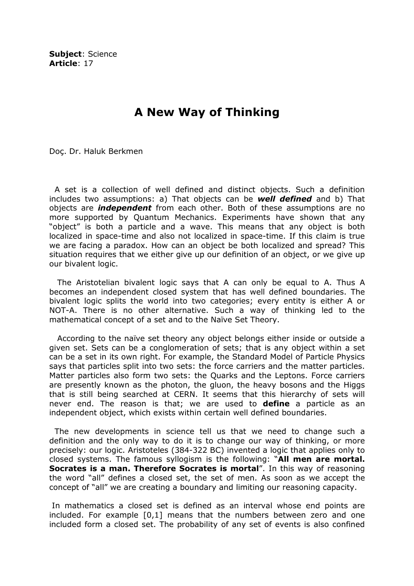Subject: Science Article: 17

## A New Way of Thinking

Doç. Dr. Haluk Berkmen

 A set is a collection of well defined and distinct objects. Such a definition includes two assumptions: a) That objects can be **well defined** and b) That objects are *independent* from each other. Both of these assumptions are no more supported by Quantum Mechanics. Experiments have shown that any "object" is both a particle and a wave. This means that any object is both localized in space-time and also not localized in space-time. If this claim is true we are facing a paradox. How can an object be both localized and spread? This situation requires that we either give up our definition of an object, or we give up our bivalent logic.

 The Aristotelian bivalent logic says that A can only be equal to A. Thus A becomes an independent closed system that has well defined boundaries. The bivalent logic splits the world into two categories; every entity is either A or NOT-A. There is no other alternative. Such a way of thinking led to the mathematical concept of a set and to the Naïve Set Theory.

 According to the naïve set theory any object belongs either inside or outside a given set. Sets can be a conglomeration of sets; that is any object within a set can be a set in its own right. For example, the Standard Model of Particle Physics says that particles split into two sets: the force carriers and the matter particles. Matter particles also form two sets: the Quarks and the Leptons. Force carriers are presently known as the photon, the gluon, the heavy bosons and the Higgs that is still being searched at CERN. It seems that this hierarchy of sets will never end. The reason is that; we are used to **define** a particle as an independent object, which exists within certain well defined boundaries.

 The new developments in science tell us that we need to change such a definition and the only way to do it is to change our way of thinking, or more precisely: our logic. Aristoteles (384-322 BC) invented a logic that applies only to closed systems. The famous syllogism is the following: "All men are mortal. Socrates is a man. Therefore Socrates is mortal". In this way of reasoning the word "all" defines a closed set, the set of men. As soon as we accept the concept of "all" we are creating a boundary and limiting our reasoning capacity.

 In mathematics a closed set is defined as an interval whose end points are included. For example [0,1] means that the numbers between zero and one included form a closed set. The probability of any set of events is also confined